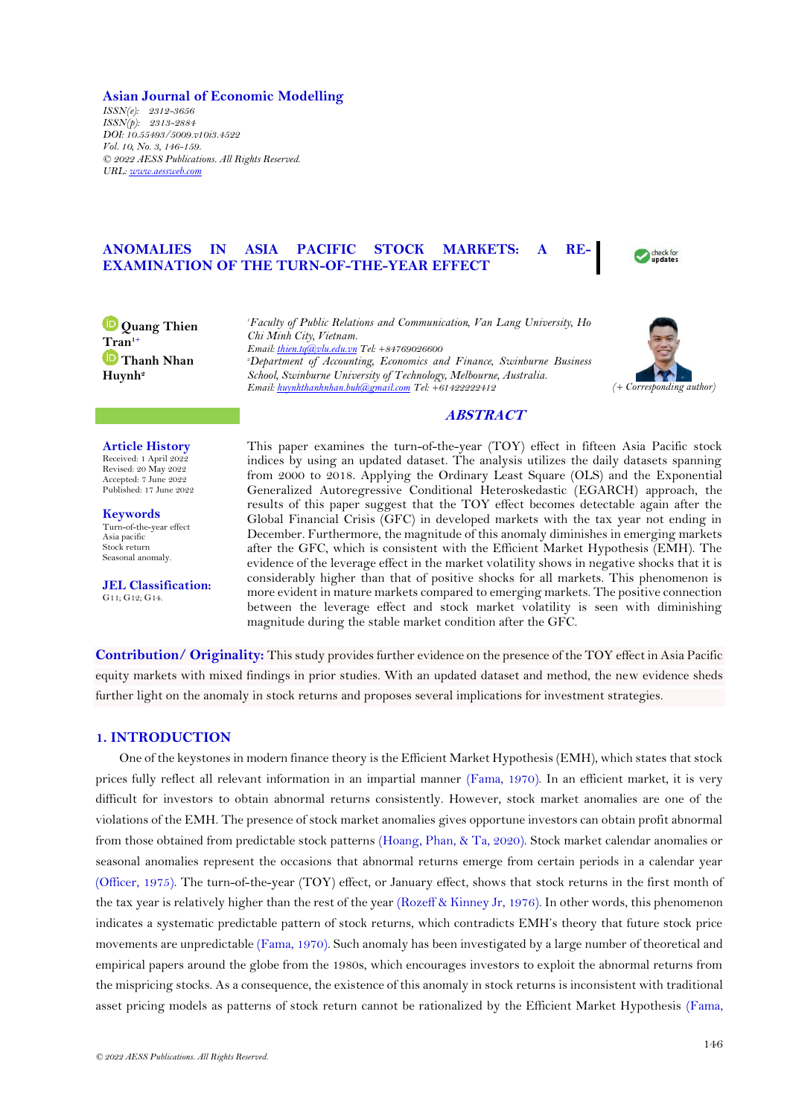### **Asian Journal of Economic Modelling**

*ISSN(e): 2312-3656 ISSN(p): 2313-2884 DOI: 10.55493/5009.v10i3.4522 Vol. 10, No. 3, 146-159. © 2022 AESS Publications. All Rights Reserved. URL[: www.aessweb.com](http://www.aessweb.com/)*

# **ANOMALIES IN ASIA PACIFIC STOCK MARKETS: A RE-EXAMINATION OF THE TURN-OF-THE-YEAR EFFECT**



**D** Quang Thien **Tran1+ Thanh Nhan Huynh<sup>2</sup>**

*<sup>1</sup>Faculty of Public Relations and Communication, Van Lang University, Ho Chi Minh City, Vietnam. Email[: thien.tq@vlu.edu.vn](mailto:thien.tq@vlu.edu.vn) Tel: +84769026600 <sup>2</sup>Department of Accounting, Economics and Finance, Swinburne Business School, Swinburne University of Technology, Melbourne, Australia. Email[: huynhthanhnhan.buh@gmail.com](mailto:huynhthanhnhan.buh@gmail.com) Tel: +61422222412 (+ Corresponding author)*



# **ABSTRACT**

# **Article History**

Received: 1 April 2022 Revised: 20 May 2022 Accepted: 7 June 2022 Published: 17 June 2022

**Keywords** Turn-of-the-year effect Asia pacific Stock return Seasonal anomaly.

**JEL Classification:** G11; G12; G14.

This paper examines the turn-of-the-year (TOY) effect in fifteen Asia Pacific stock indices by using an updated dataset. The analysis utilizes the daily datasets spanning from 2000 to 2018. Applying the Ordinary Least Square (OLS) and the Exponential Generalized Autoregressive Conditional Heteroskedastic (EGARCH) approach, the results of this paper suggest that the TOY effect becomes detectable again after the Global Financial Crisis (GFC) in developed markets with the tax year not ending in December. Furthermore, the magnitude of this anomaly diminishes in emerging markets after the GFC, which is consistent with the Efficient Market Hypothesis (EMH). The evidence of the leverage effect in the market volatility shows in negative shocks that it is considerably higher than that of positive shocks for all markets. This phenomenon is more evident in mature markets compared to emerging markets. The positive connection between the leverage effect and stock market volatility is seen with diminishing magnitude during the stable market condition after the GFC.

**Contribution/ Originality:** This study provides further evidence on the presence of the TOY effect in Asia Pacific equity markets with mixed findings in prior studies. With an updated dataset and method, the new evidence sheds further light on the anomaly in stock returns and proposes several implications for investment strategies.

# **1. INTRODUCTION**

One of the keystones in modern finance theory is the Efficient Market Hypothesis (EMH), which states that stock prices fully reflect all relevant information in an impartial manner [\(Fama, 1970\)](#page-11-0). In an efficient market, it is very difficult for investors to obtain abnormal returns consistently. However, stock market anomalies are one of the violations of the EMH. The presence of stock market anomalies gives opportune investors can obtain profit abnormal from those obtained from predictable stock patterns [\(Hoang, Phan, & Ta, 2020\)](#page-12-0). Stock market calendar anomalies or seasonal anomalies represent the occasions that abnormal returns emerge from certain periods in a calendar year [\(Officer, 1975\)](#page-12-1). The turn-of-the-year (TOY) effect, or January effect, shows that stock returns in the first month of the tax year is relatively higher than the rest of the year [\(Rozeff & Kinney Jr, 1976\)](#page-13-0). In other words, this phenomenon indicates a systematic predictable pattern of stock returns, which contradicts EMH's theory that future stock price movements are unpredictable [\(Fama, 1970\)](#page-11-0). Such anomaly has been investigated by a large number of theoretical and empirical papers around the globe from the 1980s, which encourages investors to exploit the abnormal returns from the mispricing stocks. As a consequence, the existence of this anomaly in stock returns is inconsistent with traditional asset pricing models as patterns of stock return cannot be rationalized by the Efficient Market Hypothesis [\(Fama,](#page-11-0)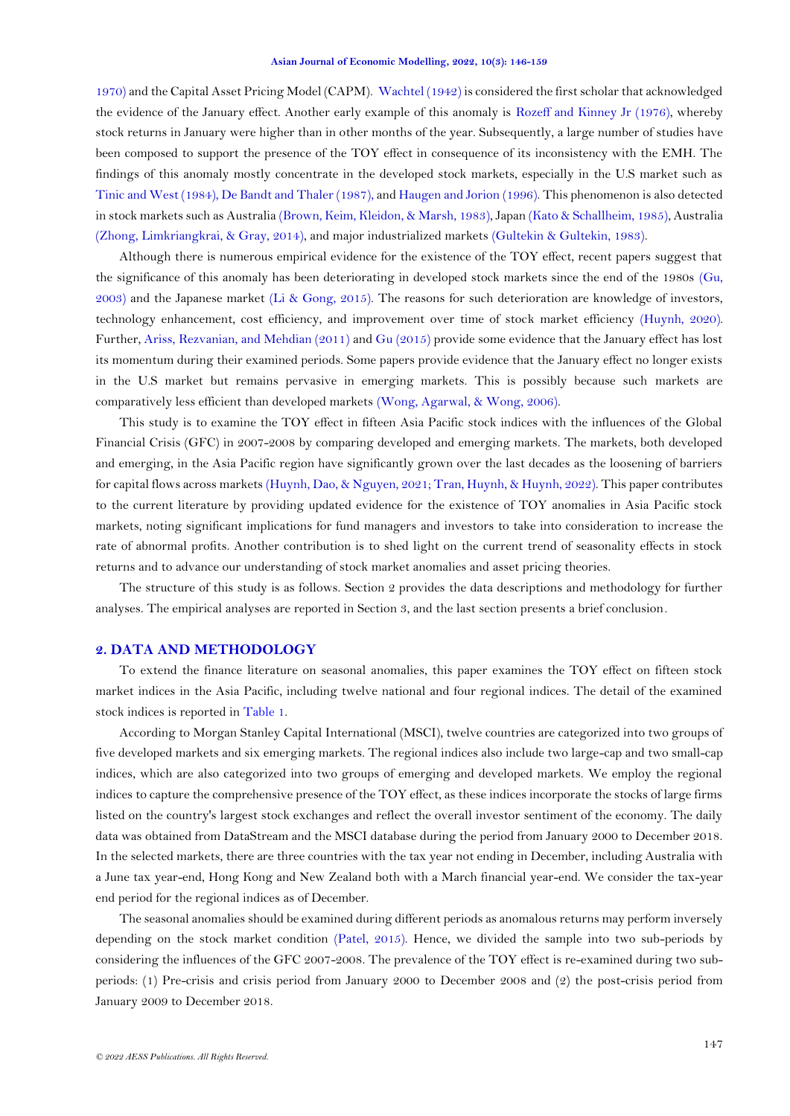[1970\)](#page-11-0) and the Capital Asset Pricing Model (CAPM). [Wachtel \(1942\)](#page-13-1) is considered the first scholar that acknowledged the evidence of the January effect. Another early example of this anomaly is [Rozeff and Kinney Jr \(1976\)](#page-13-0), whereby stock returns in January were higher than in other months of the year. Subsequently, a large number of studies have been composed to support the presence of the TOY effect in consequence of its inconsistency with the EMH. The findings of this anomaly mostly concentrate in the developed stock markets, especially in the U.S market such as [Tinic and West \(1984\)](#page-13-2), [De Bandt and Thaler \(1987\)](#page-11-1), an[d Haugen and Jorion \(1996\)](#page-12-2). This phenomenon is also detected in stock markets such as Australia [\(Brown, Keim, Kleidon, & Marsh, 1983\)](#page-11-2), Japan [\(Kato & Schallheim, 1985\)](#page-12-3), Australia [\(Zhong, Limkriangkrai, & Gray, 2014\)](#page-13-3), and major industrialized markets [\(Gultekin & Gultekin, 1983\)](#page-12-4).

Although there is numerous empirical evidence for the existence of the TOY effect, recent papers suggest that the significance of this anomaly has been deteriorating in developed stock markets since the end of the 1980s [\(Gu,](#page-12-5)  [2003\)](#page-12-5) and the Japanese market [\(Li & Gong, 2015\)](#page-12-6). The reasons for such deterioration are knowledge of investors, technology enhancement, cost efficiency, and improvement over time of stock market efficiency [\(Huynh, 2020\)](#page-12-7). Further, [Ariss, Rezvanian, and Mehdian \(2011\)](#page-11-3) and [Gu \(2015\)](#page-12-8) provide some evidence that the January effect has lost its momentum during their examined periods. Some papers provide evidence that the January effect no longer exists in the U.S market but remains pervasive in emerging markets. This is possibly because such markets are comparatively less efficient than developed markets [\(Wong, Agarwal, & Wong, 2006\)](#page-13-4).

This study is to examine the TOY effect in fifteen Asia Pacific stock indices with the influences of the Global Financial Crisis (GFC) in 2007-2008 by comparing developed and emerging markets. The markets, both developed and emerging, in the Asia Pacific region have significantly grown over the last decades as the loosening of barriers for capital flows across markets [\(Huynh, Dao, & Nguyen, 2021;](#page-12-9) [Tran, Huynh, & Huynh, 2022\)](#page-13-5). This paper contributes to the current literature by providing updated evidence for the existence of TOY anomalies in Asia Pacific stock markets, noting significant implications for fund managers and investors to take into consideration to increase the rate of abnormal profits. Another contribution is to shed light on the current trend of seasonality effects in stock returns and to advance our understanding of stock market anomalies and asset pricing theories.

The structure of this study is as follows. Section 2 provides the data descriptions and methodology for further analyses. The empirical analyses are reported in Section 3, and the last section presents a brief conclusion*.* 

## **2. DATA AND METHODOLOGY**

To extend the finance literature on seasonal anomalies, this paper examines the TOY effect on fifteen stock market indices in the Asia Pacific, including twelve national and four regional indices. The detail of the examined stock indices is reported in [Table 1.](#page-2-0)

According to Morgan Stanley Capital International (MSCI), twelve countries are categorized into two groups of five developed markets and six emerging markets. The regional indices also include two large-cap and two small-cap indices, which are also categorized into two groups of emerging and developed markets. We employ the regional indices to capture the comprehensive presence of the TOY effect, as these indices incorporate the stocks of large firms listed on the country's largest stock exchanges and reflect the overall investor sentiment of the economy. The daily data was obtained from DataStream and the MSCI database during the period from January 2000 to December 2018. In the selected markets, there are three countries with the tax year not ending in December, including Australia with a June tax year-end, Hong Kong and New Zealand both with a March financial year-end. We consider the tax-year end period for the regional indices as of December.

The seasonal anomalies should be examined during different periods as anomalous returns may perform inversely depending on the stock market condition [\(Patel, 2015\)](#page-12-10). Hence, we divided the sample into two sub-periods by considering the influences of the GFC 2007-2008. The prevalence of the TOY effect is re-examined during two subperiods: (1) Pre-crisis and crisis period from January 2000 to December 2008 and (2) the post-crisis period from January 2009 to December 2018.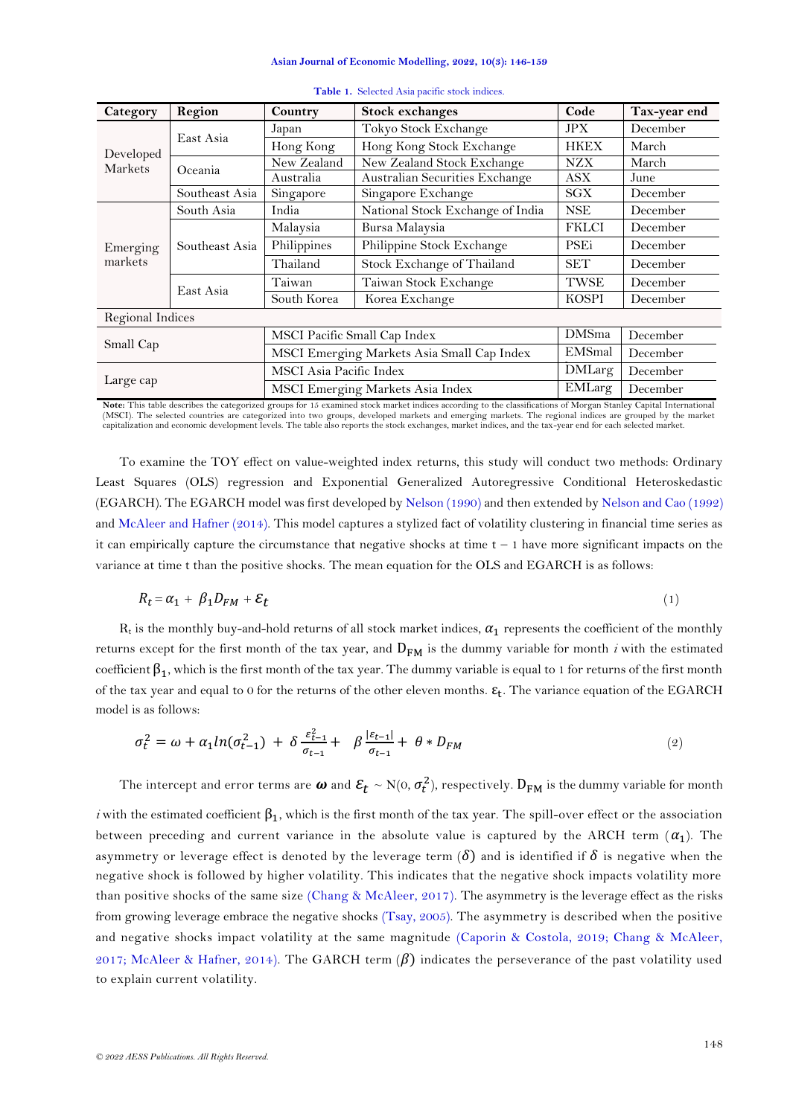<span id="page-2-0"></span>

| Category         | Region         | Country                 | <b>Stock exchanges</b>                     | Code          | Tax-year end |
|------------------|----------------|-------------------------|--------------------------------------------|---------------|--------------|
|                  |                | Japan                   | Tokyo Stock Exchange                       | <b>JPX</b>    | December     |
| Developed        | East Asia      | Hong Kong               | Hong Kong Stock Exchange                   | <b>HKEX</b>   | March        |
| Markets          | Oceania        | New Zealand             | New Zealand Stock Exchange                 | <b>NZX</b>    | March        |
|                  |                | Australia               | Australian Securities Exchange             | <b>ASX</b>    | June         |
|                  | Southeast Asia | Singapore               | Singapore Exchange                         | SGX           | December     |
|                  | South Asia     | India                   | National Stock Exchange of India           | <b>NSE</b>    | December     |
| Emerging         | Southeast Asia | Malaysia                | Bursa Malaysia                             | <b>FKLCI</b>  | December     |
|                  |                | Philippines             | Philippine Stock Exchange                  | <b>PSE</b> i  | December     |
| markets          |                | Thailand                | Stock Exchange of Thailand                 | <b>SET</b>    | December     |
|                  | East Asia      | Taiwan                  | Taiwan Stock Exchange                      | TWSE          | December     |
|                  |                | South Korea             | Korea Exchange                             | <b>KOSPI</b>  | December     |
| Regional Indices |                |                         |                                            |               |              |
|                  |                |                         | MSCI Pacific Small Cap Index               | <b>DMSma</b>  | December     |
| Small Cap        |                |                         | MSCI Emerging Markets Asia Small Cap Index | EMSmal        | December     |
|                  |                | MSCI Asia Pacific Index |                                            | <b>DMLarg</b> | December     |
| Large cap        |                |                         | MSCI Emerging Markets Asia Index           | EMLarg        | December     |

### **Table 1.** Selected Asia pacific stock indices.

Note: This table describes the categorized groups for 15 examined stock market indices according to the classifications of Morgan Stanley Capital International (MSCI). The selected countries are categorized into two groups, developed markets and emerging markets. The regional indices are grouped by the market<br>capitalization and economic development levels. The table also reports

To examine the TOY effect on value-weighted index returns, this study will conduct two methods: Ordinary Least Squares (OLS) regression and Exponential Generalized Autoregressive Conditional Heteroskedastic (EGARCH). The EGARCH model was first developed b[y Nelson \(1990\)](#page-12-11) and then extended b[y Nelson and Cao \(1992\)](#page-12-12) and [McAleer and Hafner \(2014\)](#page-12-13). This model captures a stylized fact of volatility clustering in financial time series as it can empirically capture the circumstance that negative shocks at time  $t - 1$  have more significant impacts on the variance at time t than the positive shocks. The mean equation for the OLS and EGARCH is as follows:

$$
R_t = \alpha_1 + \beta_1 D_{FM} + \varepsilon_t \tag{1}
$$

 $R_t$  is the monthly buy-and-hold returns of all stock market indices,  $\alpha_1$  represents the coefficient of the monthly returns except for the first month of the tax year, and  $D_{FM}$  is the dummy variable for month *i* with the estimated coefficient  $β_1$ , which is the first month of the tax year. The dummy variable is equal to 1 for returns of the first month of the tax year and equal to 0 for the returns of the other eleven months.  $\epsilon_t$ . The variance equation of the EGARCH model is as follows:

$$
\sigma_t^2 = \omega + \alpha_1 ln(\sigma_{t-1}^2) + \delta \frac{\varepsilon_{t-1}^2}{\sigma_{t-1}} + \beta \frac{|\varepsilon_{t-1}|}{\sigma_{t-1}} + \theta * D_{FM}
$$
\n(2)

The intercept and error terms are  $\omega$  and  $\mathcal{E}_t \sim \mathrm{N}(0,\sigma_t^2)$ , respectively.  $\mathrm{D_{FM}}$  is the dummy variable for month

*i* with the estimated coefficient  $\beta_1$ , which is the first month of the tax year. The spill-over effect or the association between preceding and current variance in the absolute value is captured by the ARCH term  $(\alpha_1)$ . The asymmetry or leverage effect is denoted by the leverage term  $(\delta)$  and is identified if  $\delta$  is negative when the negative shock is followed by higher volatility. This indicates that the negative shock impacts volatility more than positive shocks of the same size [\(Chang & McAleer, 2017\)](#page-11-4). The asymmetry is the leverage effect as the risks from growing leverage embrace the negative shocks [\(Tsay, 2005\)](#page-13-6). The asymmetry is described when the positive and negative shocks impact volatility at the same magnitude [\(Caporin & Costola, 2019;](#page-11-5) [Chang & McAleer,](#page-11-4)  [2017;](#page-11-4) [McAleer & Hafner, 2014\)](#page-12-13). The GARCH term  $(\beta)$  indicates the perseverance of the past volatility used to explain current volatility.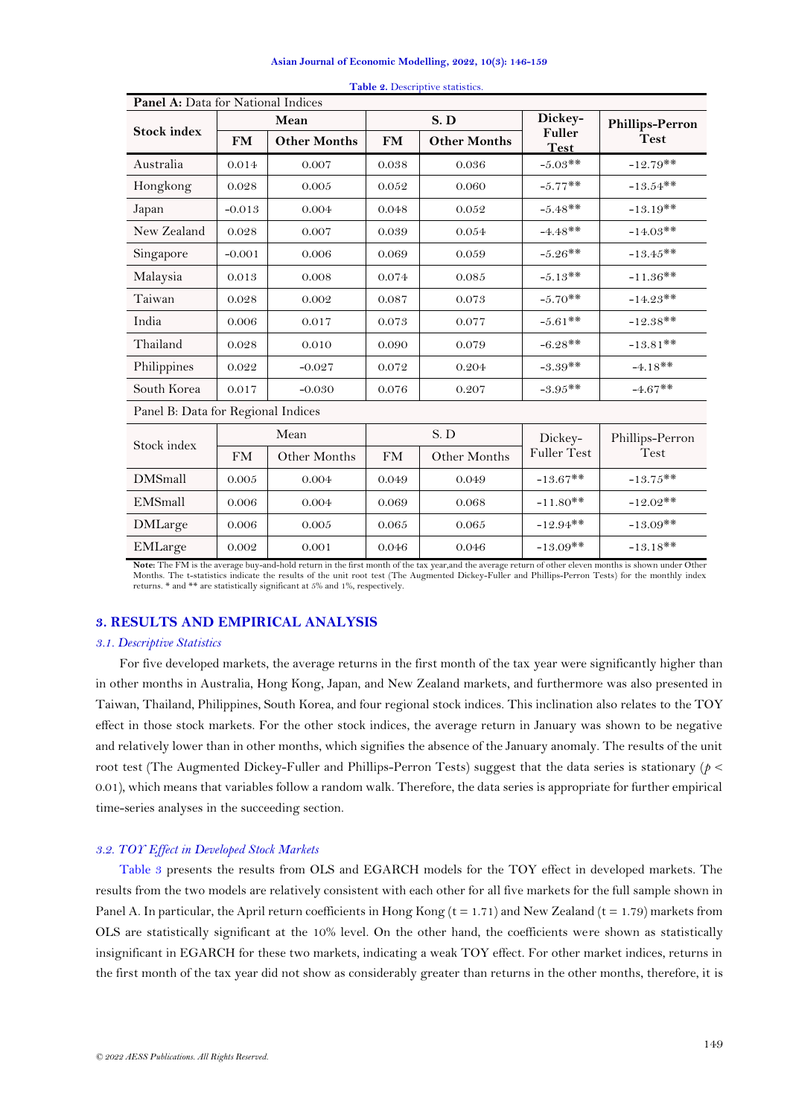<span id="page-3-0"></span>

| <b>Panel A:</b> Data for National Indices |           |                     |           |                     |                       |                        |  |  |  |
|-------------------------------------------|-----------|---------------------|-----------|---------------------|-----------------------|------------------------|--|--|--|
|                                           |           | Mean                |           | S.D                 | Dickey-               | <b>Phillips-Perron</b> |  |  |  |
| <b>Stock index</b>                        | <b>FM</b> | <b>Other Months</b> | <b>FM</b> | <b>Other Months</b> | Fuller<br><b>Test</b> | <b>Test</b>            |  |  |  |
| Australia                                 | 0.014     | 0.007               | 0.038     | 0.036               | $-5.03**$             | $-12.79**$             |  |  |  |
| Hongkong                                  | 0.028     | 0.005               | 0.052     | 0.060               | $-5.77**$             | $-13.54**$             |  |  |  |
| Japan                                     | $-0.013$  | 0.004               | 0.048     | 0.052               | $-5.48**$             | $-13.19**$             |  |  |  |
| New Zealand                               | 0.028     | 0.007               | 0.039     | 0.054               | $-4.48**$             | $-14.03**$             |  |  |  |
| Singapore                                 | $-0.001$  | 0.006               | 0.069     | 0.059               | $-5.26**$             | $-13.45**$             |  |  |  |
| Malaysia                                  | 0.013     | 0.008               | 0.074     | 0.085               | $-5.13**$             | $-11.36**$             |  |  |  |
| Taiwan                                    | 0.028     | 0.002               | 0.087     | 0.073               | $-5.70**$             | $-14.23**$             |  |  |  |
| India                                     | 0.006     | 0.017               | 0.073     | 0.077               | $-5.61**$             | $-12.38**$             |  |  |  |
| Thailand                                  | 0.028     | 0.010               | 0.090     | 0.079               | $-6.28**$             | $-13.81**$             |  |  |  |
| Philippines                               | 0.022     | $-0.027$            | 0.072     | 0.204               | $-3.39**$             | $-4.18**$              |  |  |  |
| South Korea                               | 0.017     | $-0.030$            | 0.076     | 0.207               | $-3.95**$             | $-4.67**$              |  |  |  |
| Panel B: Data for Regional Indices        |           |                     |           |                     |                       |                        |  |  |  |
| Stock index                               |           | Mean                |           | S.D                 | Dickey-               | Phillips-Perron        |  |  |  |
|                                           | <b>FM</b> | Other Months        | <b>FM</b> | Other Months        | <b>Fuller Test</b>    | Test                   |  |  |  |
| <b>DMSmall</b>                            | 0.005     | 0.004               | 0.049     | 0.049               | $-13.67**$            | $-13.75**$             |  |  |  |
| EMSmall                                   | 0.006     | 0.004               | 0.069     | 0.068               | $-11.80**$            | $-12.02**$             |  |  |  |
| <b>DMLarge</b>                            | 0.006     | 0.005               | 0.065     | 0.065               | $-12.94**$            | $-13.09**$             |  |  |  |
| EMLarge                                   | 0.002     | 0.001               | 0.046     | 0.046               | $-13.09$ **           | $-13.18**$             |  |  |  |

|  | Table 2. Descriptive statistics. |
|--|----------------------------------|
|  |                                  |

**Note:** The FM is the average buy-and-hold return in the first month of the tax year,and the average return of other eleven months is shown under Other Months. The t-statistics indicate the results of the unit root test (The Augmented Dickey-Fuller and Phillips-Perron Tests) for the monthly index<br>returns. \* and \*\* are statistically significant at 5% and 1%, respectively.

# **3. RESULTS AND EMPIRICAL ANALYSIS**

### *3.1. Descriptive Statistics*

For five developed markets, the average returns in the first month of the tax year were significantly higher than in other months in Australia, Hong Kong, Japan, and New Zealand markets, and furthermore was also presented in Taiwan, Thailand, Philippines, South Korea, and four regional stock indices. This inclination also relates to the TOY effect in those stock markets. For the other stock indices, the average return in January was shown to be negative and relatively lower than in other months, which signifies the absence of the January anomaly. The results of the unit root test (The Augmented Dickey-Fuller and Phillips-Perron Tests) suggest that the data series is stationary (*p* < 0.01), which means that variables follow a random walk. Therefore, the data series is appropriate for further empirical time-series analyses in the succeeding section.

# *3.2. TOY Effect in Developed Stock Markets*

[Table 3](#page-5-0) presents the results from OLS and EGARCH models for the TOY effect in developed markets. The results from the two models are relatively consistent with each other for all five markets for the full sample shown in Panel A. In particular, the April return coefficients in Hong Kong ( $t = 1.71$ ) and New Zealand ( $t = 1.79$ ) markets from OLS are statistically significant at the 10% level. On the other hand, the coefficients were shown as statistically insignificant in EGARCH for these two markets, indicating a weak TOY effect. For other market indices, returns in the first month of the tax year did not show as considerably greater than returns in the other months, therefore, it is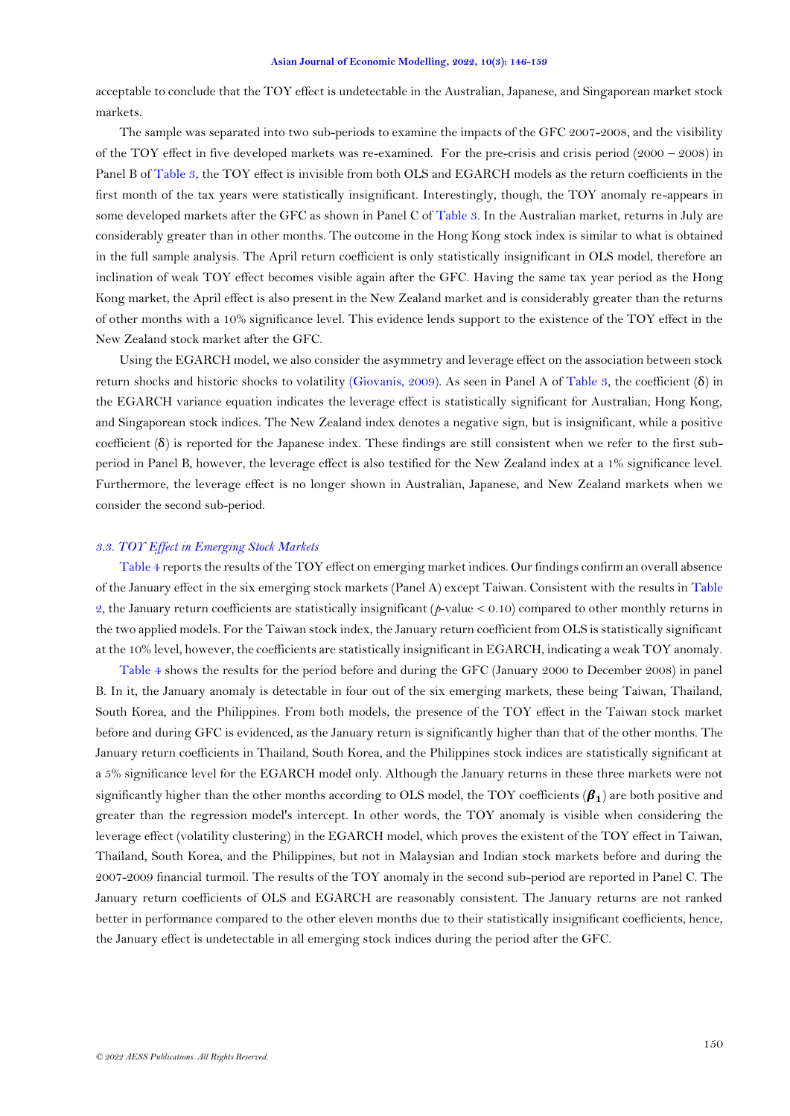acceptable to conclude that the TOY effect is undetectable in the Australian, Japanese, and Singaporean market stock markets.

The sample was separated into two sub-periods to examine the impacts of the GFC 2007-2008, and the visibility of the TOY effect in five developed markets was re-examined. For the pre-crisis and crisis period  $(2000 - 2008)$  in Panel B of [Table 3,](#page-5-0) the TOY effect is invisible from both OLS and EGARCH models as the return coefficients in the first month of the tax years were statistically insignificant. Interestingly, though, the TOY anomaly re-appears in some developed markets after the GFC as shown in Panel C of [Table 3.](#page-5-0) In the Australian market, returns in July are considerably greater than in other months. The outcome in the Hong Kong stock index is similar to what is obtained in the full sample analysis. The April return coefficient is only statistically insignificant in OLS model, therefore an inclination of weak TOY effect becomes visible again after the GFC. Having the same tax year period as the Hong Kong market, the April effect is also present in the New Zealand market and is considerably greater than the returns of other months with a 10% significance level. This evidence lends support to the existence of the TOY effect in the New Zealand stock market after the GFC.

Using the EGARCH model, we also consider the asymmetry and leverage effect on the association between stock return shocks and historic shocks to volatility [\(Giovanis, 2009\)](#page-12-14). As seen in Panel A of Table 3, the coefficient (δ) in the EGARCH variance equation indicates the leverage effect is statistically significant for Australian, Hong Kong, and Singaporean stock indices. The New Zealand index denotes a negative sign, but is insignificant, while a positive coefficient (δ) is reported for the Japanese index. These findings are still consistent when we refer to the first subperiod in Panel B, however, the leverage effect is also testified for the New Zealand index at a 1% significance level. Furthermore, the leverage effect is no longer shown in Australian, Japanese, and New Zealand markets when we consider the second sub-period.

### *3.3. TOY Effect in Emerging Stock Markets*

[Table 4](#page-8-0) reports the results of the TOY effect on emerging market indices. Our findings confirm an overall absence of the January effect in the six emerging stock markets (Panel A) except Taiwan. Consistent with the results in [Table](#page-3-0)  [2,](#page-3-0) the January return coefficients are statistically insignificant (*p*-value < 0.10) compared to other monthly returns in the two applied models. For the Taiwan stock index, the January return coefficient from OLS is statistically significant at the 10% level, however, the coefficients are statistically insignificant in EGARCH, indicating a weak TOY anomaly.

[Table 4](#page-8-0) shows the results for the period before and during the GFC (January 2000 to December 2008) in panel B. In it, the January anomaly is detectable in four out of the six emerging markets, these being Taiwan, Thailand, South Korea, and the Philippines. From both models, the presence of the TOY effect in the Taiwan stock market before and during GFC is evidenced, as the January return is significantly higher than that of the other months. The January return coefficients in Thailand, South Korea, and the Philippines stock indices are statistically significant at a 5% significance level for the EGARCH model only. Although the January returns in these three markets were not significantly higher than the other months according to OLS model, the TOY coefficients  $(\beta_1)$  are both positive and greater than the regression model's intercept. In other words, the TOY anomaly is visible when considering the leverage effect (volatility clustering) in the EGARCH model, which proves the existent of the TOY effect in Taiwan, Thailand, South Korea, and the Philippines, but not in Malaysian and Indian stock markets before and during the 2007-2009 financial turmoil. The results of the TOY anomaly in the second sub-period are reported in Panel C. The January return coefficients of OLS and EGARCH are reasonably consistent. The January returns are not ranked better in performance compared to the other eleven months due to their statistically insignificant coefficients, hence, the January effect is undetectable in all emerging stock indices during the period after the GFC.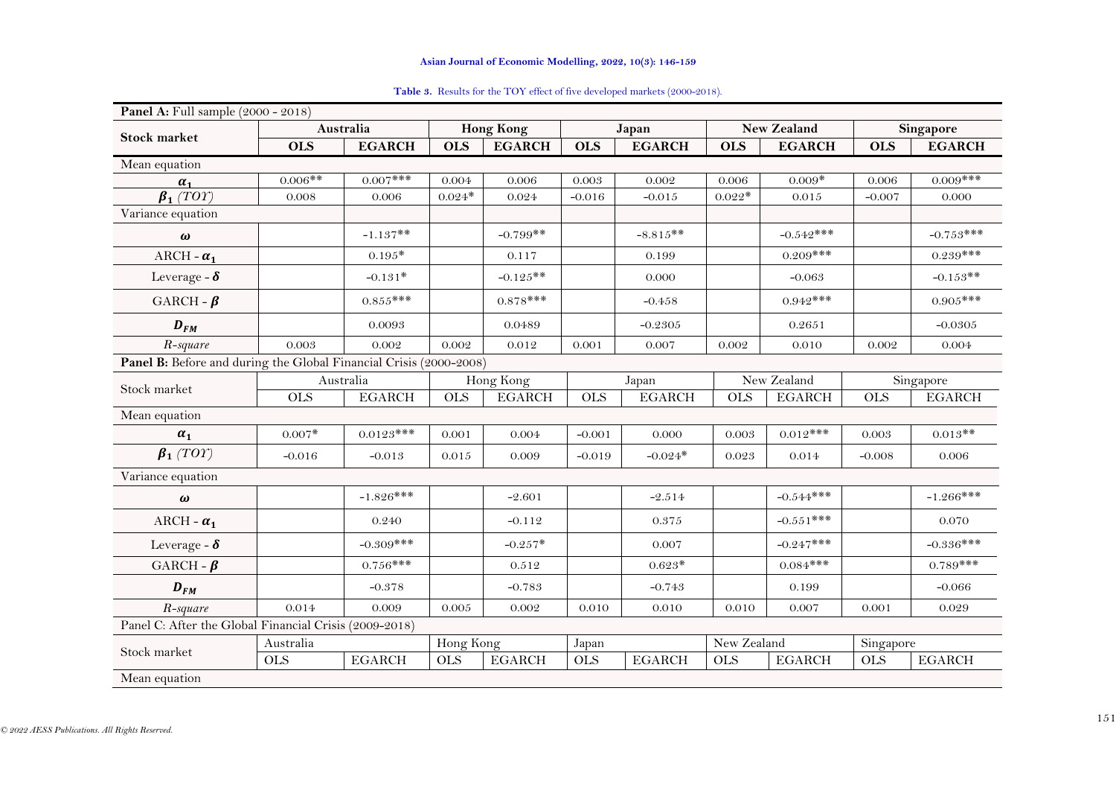<span id="page-5-0"></span>

| Panel A: Full sample (2000 - 2018)                                 |            |               |            |                  |            |               |                    |               |            |               |
|--------------------------------------------------------------------|------------|---------------|------------|------------------|------------|---------------|--------------------|---------------|------------|---------------|
| <b>Stock market</b>                                                |            | Australia     |            | <b>Hong Kong</b> |            | Japan         | <b>New Zealand</b> |               | Singapore  |               |
|                                                                    | <b>OLS</b> | <b>EGARCH</b> | <b>OLS</b> | <b>EGARCH</b>    | <b>OLS</b> | <b>EGARCH</b> | <b>OLS</b>         | <b>EGARCH</b> | <b>OLS</b> | <b>EGARCH</b> |
| Mean equation                                                      |            |               |            |                  |            |               |                    |               |            |               |
| $\alpha_1$                                                         | $0.006**$  | $0.007$ ***   | 0.004      | 0.006            | 0.003      | 0.002         | 0.006              | $0.009*$      | 0.006      | $0.009$ ***   |
| $\overline{\beta_1(TOT)}$                                          | 0.008      | 0.006         | $0.024*$   | 0.024            | $-0.016$   | $-0.015$      | $0.022*$           | 0.015         | $-0.007$   | 0.000         |
| Variance equation                                                  |            |               |            |                  |            |               |                    |               |            |               |
| $\omega$                                                           |            | $-1.137**$    |            | $-0.799**$       |            | $-8.815**$    |                    | $-0.542***$   |            | $-0.753***$   |
| ARCH - $\alpha_1$                                                  |            | $0.195*$      |            | 0.117            |            | 0.199         |                    | $0.209***$    |            | $0.239***$    |
| Leverage - $\delta$                                                |            | $-0.131*$     |            | $-0.125**$       |            | 0.000         |                    | $-0.063$      |            | $-0.153**$    |
| GARCH - $\beta$                                                    |            | $0.855***$    |            | $0.878***$       |            | $-0.458$      |                    | $0.942***$    |            | $0.905***$    |
| $D_{FM}$                                                           |            | 0.0093        |            | 0.0489           |            | $-0.2305$     |                    | 0.2651        |            | $-0.0305$     |
| R-square                                                           | 0.003      | 0.002         | 0.002      | 0.012            | 0.001      | 0.007         | 0.002              | 0.010         | 0.002      | 0.004         |
| Panel B: Before and during the Global Financial Crisis (2000-2008) |            |               |            |                  |            |               |                    |               |            |               |
| Stock market                                                       |            | Australia     |            | Hong Kong        |            | Japan         |                    | New Zealand   |            | Singapore     |
|                                                                    | <b>OLS</b> | <b>EGARCH</b> | <b>OLS</b> | <b>EGARCH</b>    | <b>OLS</b> | <b>EGARCH</b> | <b>OLS</b>         | <b>EGARCH</b> | <b>OLS</b> | <b>EGARCH</b> |
| Mean equation                                                      |            |               |            |                  |            |               |                    |               |            |               |
| $\alpha_1$                                                         | $0.007*$   | $0.0123***$   | 0.001      | 0.004            | $-0.001$   | 0.000         | 0.003              | $0.012***$    | 0.003      | $0.013**$     |
| $\beta_1(TOT)$                                                     | $-0.016$   | $-0.013$      | 0.015      | 0.009            | $-0.019$   | $-0.024*$     | 0.023              | 0.014         | $-0.008$   | 0.006         |
| Variance equation                                                  |            |               |            |                  |            |               |                    |               |            |               |
| $\omega$                                                           |            | $-1.826***$   |            | $-2.601$         |            | $-2.514$      |                    | $-0.544***$   |            | $-1.266***$   |
| ARCH - $\alpha_1$                                                  |            | 0.240         |            | $-0.112$         |            | $0.375\,$     |                    | $-0.551***$   |            | 0.070         |
| Leverage - $\delta$                                                |            | $-0.309***$   |            | $-0.257*$        |            | 0.007         |                    | $-0.247***$   |            | $-0.336***$   |
| GARCH - $\beta$                                                    |            | $0.756***$    |            | 0.512            |            | $0.623*$      |                    | $0.084***$    |            | $0.789***$    |
| $D_{FM}$                                                           |            | $-0.378$      |            | $-0.783$         |            | $-0.743$      |                    | 0.199         |            | $-0.066$      |
| R-square                                                           | 0.014      | 0.009         | 0.005      | 0.002            | 0.010      | 0.010         | 0.010              | 0.007         | 0.001      | 0.029         |
| Panel C: After the Global Financial Crisis (2009-2018)             |            |               |            |                  |            |               |                    |               |            |               |
| Stock market                                                       | Australia  |               | Hong Kong  |                  | Japan      |               | New Zealand        |               | Singapore  |               |
|                                                                    | <b>OLS</b> | <b>EGARCH</b> | <b>OLS</b> | <b>EGARCH</b>    | <b>OLS</b> | <b>EGARCH</b> | <b>OLS</b>         | <b>EGARCH</b> | <b>OLS</b> | <b>EGARCH</b> |
| Mean equation                                                      |            |               |            |                  |            |               |                    |               |            |               |

## Table 3. Results for the TOY effect of five developed markets (2000-2018).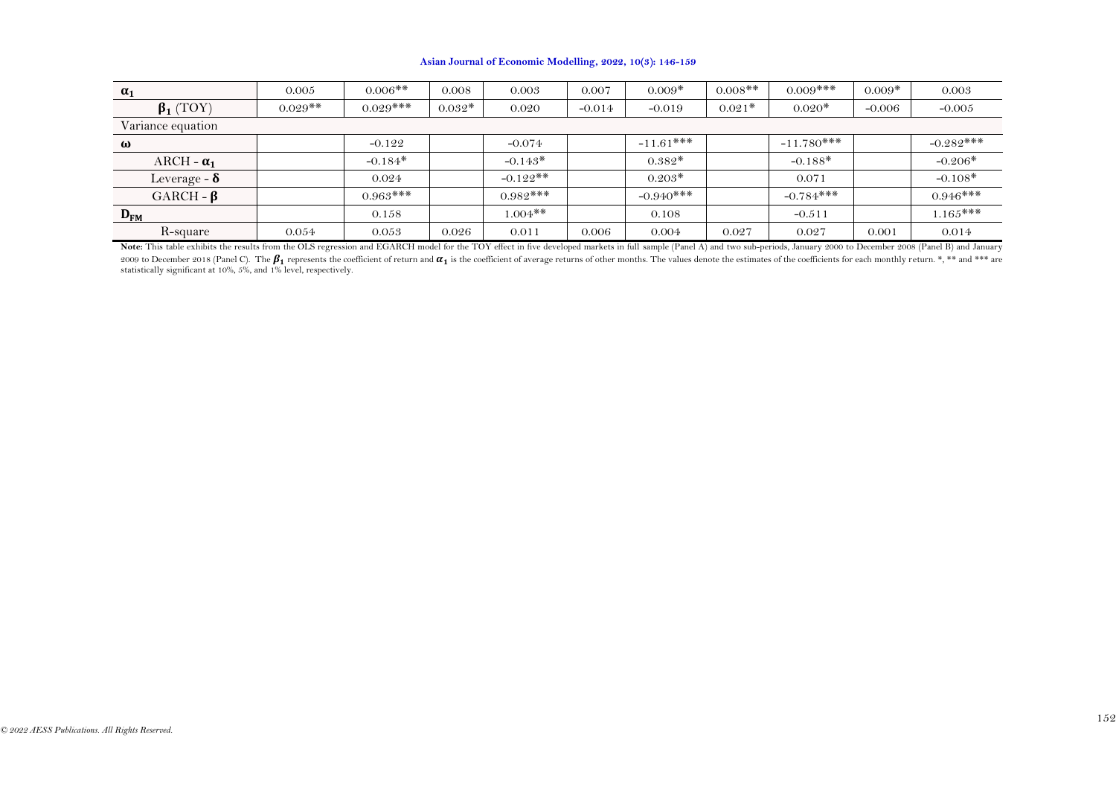| $\alpha_1$          | 0.005     | $0.006**$   | 0.008    | 0.003       | 0.007    | $0.009*$     | $0.008$ ** | $0.009$ ***  | $0.009*$ | 0.003        |
|---------------------|-----------|-------------|----------|-------------|----------|--------------|------------|--------------|----------|--------------|
| $\beta_1$ (TOY)     | $0.029**$ | $0.029$ *** | $0.032*$ | 0.020       | $-0.014$ | $-0.019$     | $0.021*$   | $0.020*$     | $-0.006$ | $-0.005$     |
| Variance equation   |           |             |          |             |          |              |            |              |          |              |
| ω                   |           | $-0.122$    |          | $-0.074$    |          | $-11.61$ *** |            | $-11.780***$ |          | $-0.282$ *** |
| ARCH - $\alpha_1$   |           | $-0.184*$   |          | $-0.143*$   |          | $0.382*$     |            | $-0.188*$    |          | $-0.206*$    |
| Leverage - $\delta$ |           | 0.024       |          | $-0.122$ ** |          | $0.203*$     |            | 0.071        |          | $-0.108*$    |
| GARCH - $\beta$     |           | $0.963$ *** |          | $0.982***$  |          | $-0.940$ *** |            | $-0.784$ *** |          | $0.946***$   |
| $D_{FM}$            |           | 0.158       |          | $1.004**$   |          | 0.108        |            | $-0.511$     |          | $1.165***$   |
| R-square            | 0.054     | 0.053       | 0.026    | 0.011       | 0.006    | 0.004        | 0.027      | 0.027        | 0.001    | 0.014        |

Note: This table exhibits the results from the OLS regression and EGARCH model for the TOY effect in five developed markets in full sample (Panel A) and two sub-periods, January 2000 to December 2008 (Panel B) and January 2009 to December 2018 (Panel C). The  $\boldsymbol{\beta}_1$  represents the coefficient of return and  $\boldsymbol{\alpha}_1$  is the coefficient of average returns of other months. The values denote the estimates of the coefficients for each monthly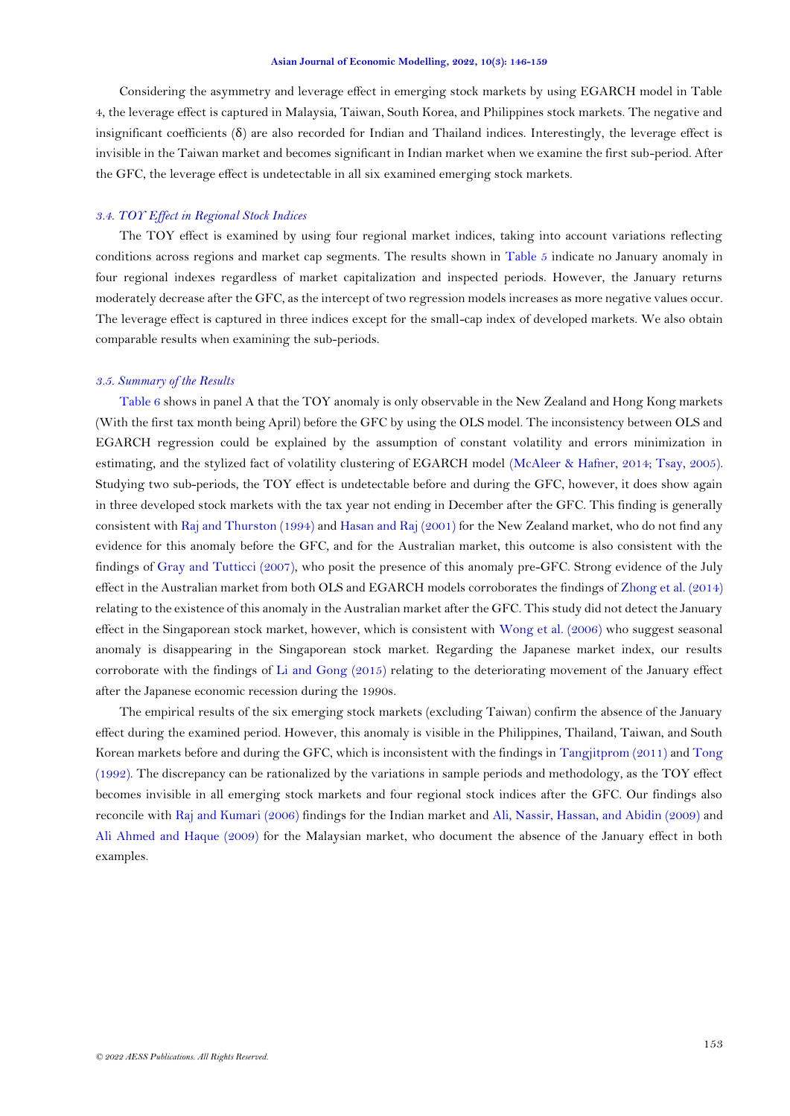Considering the asymmetry and leverage effect in emerging stock markets by using EGARCH model in Table 4, the leverage effect is captured in Malaysia, Taiwan, South Korea, and Philippines stock markets. The negative and insignificant coefficients  $(\delta)$  are also recorded for Indian and Thailand indices. Interestingly, the leverage effect is invisible in the Taiwan market and becomes significant in Indian market when we examine the first sub-period. After the GFC, the leverage effect is undetectable in all six examined emerging stock markets.

# *3.4. TOY Effect in Regional Stock Indices*

The TOY effect is examined by using four regional market indices, taking into account variations reflecting conditions across regions and market cap segments. The results shown in [Table 5](#page-9-0) indicate no January anomaly in four regional indexes regardless of market capitalization and inspected periods. However, the January returns moderately decrease after the GFC, as the intercept of two regression models increases as more negative values occur. The leverage effect is captured in three indices except for the small-cap index of developed markets. We also obtain comparable results when examining the sub-periods.

### *3.5. Summary of the Results*

[Table 6](#page-10-0) shows in panel A that the TOY anomaly is only observable in the New Zealand and Hong Kong markets (With the first tax month being April) before the GFC by using the OLS model. The inconsistency between OLS and EGARCH regression could be explained by the assumption of constant volatility and errors minimization in estimating, and the stylized fact of volatility clustering of EGARCH model [\(McAleer & Hafner, 2014;](#page-12-13) [Tsay, 2005\)](#page-13-6). Studying two sub-periods, the TOY effect is undetectable before and during the GFC, however, it does show again in three developed stock markets with the tax year not ending in December after the GFC. This finding is generally consistent wit[h Raj and Thurston \(1994\)](#page-13-7) an[d Hasan and Raj \(2001\)](#page-12-15) for the New Zealand market, who do not find any evidence for this anomaly before the GFC, and for the Australian market, this outcome is also consistent with the findings of [Gray and Tutticci \(2007\)](#page-12-16), who posit the presence of this anomaly pre-GFC. Strong evidence of the July effect in the Australian market from both OLS and EGARCH models corroborates the findings of [Zhong et al. \(2014\)](#page-13-3) relating to the existence of this anomaly in the Australian market after the GFC. This study did not detect the January effect in the Singaporean stock market, however, which is consistent with [Wong et al. \(2006\)](#page-13-4) who suggest seasonal anomaly is disappearing in the Singaporean stock market. Regarding the Japanese market index, our results corroborate with the findings of [Li and Gong \(2015\)](#page-12-6) relating to the deteriorating movement of the January effect after the Japanese economic recession during the 1990s.

The empirical results of the six emerging stock markets (excluding Taiwan) confirm the absence of the January effect during the examined period. However, this anomaly is visible in the Philippines, Thailand, Taiwan, and South Korean markets before and during the GFC, which is inconsistent with the findings in [Tangjitprom \(2011\)](#page-13-8) and [Tong](#page-13-9)  [\(1992\)](#page-13-9). The discrepancy can be rationalized by the variations in sample periods and methodology, as the TOY effect becomes invisible in all emerging stock markets and four regional stock indices after the GFC. Our findings also reconcile with [Raj and Kumari \(2006\)](#page-12-17) findings for the Indian market and [Ali, Nassir, Hassan, and Abidin \(2009\)](#page-11-6) and [Ali Ahmed and Haque \(2009\)](#page-11-7) for the Malaysian market, who document the absence of the January effect in both examples.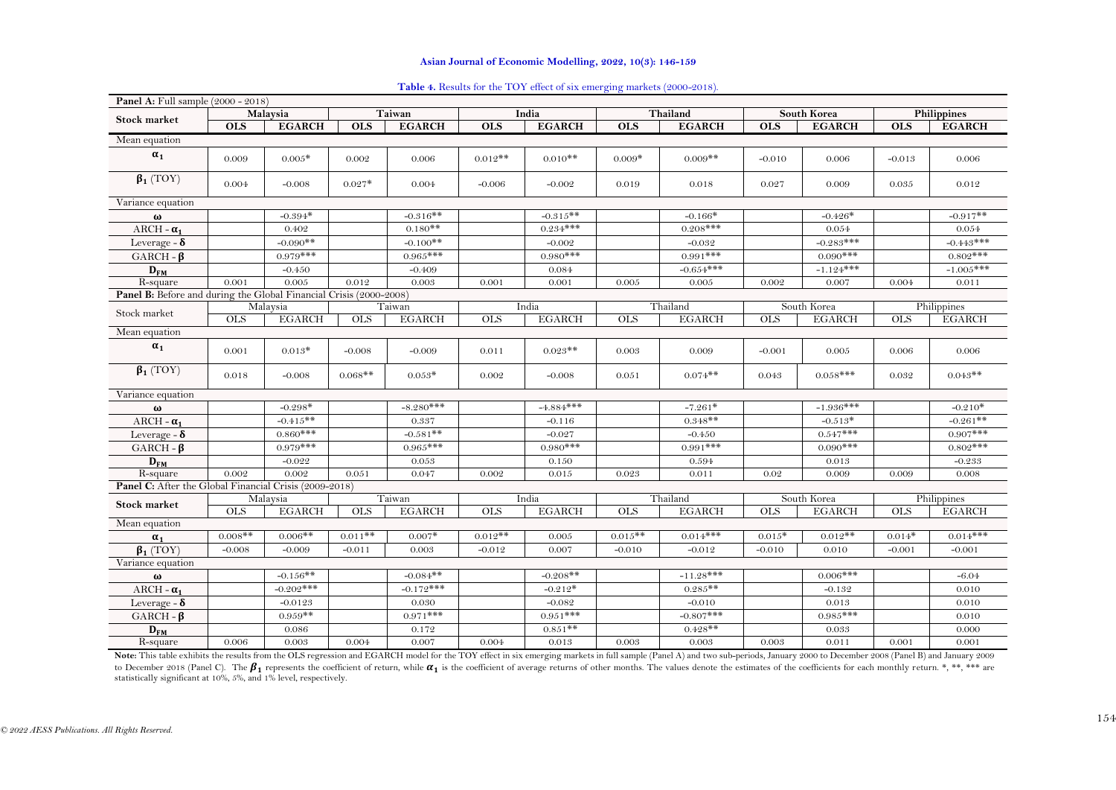| Panel A: Full sample (2000 - 2018)                                 |            |               |               |               |            |               |            |               |            |               |                    |               |
|--------------------------------------------------------------------|------------|---------------|---------------|---------------|------------|---------------|------------|---------------|------------|---------------|--------------------|---------------|
| <b>Stock market</b>                                                |            | Malaysia      | <b>Taiwan</b> |               |            | India         |            | Thailand      |            | South Korea   | <b>Philippines</b> |               |
|                                                                    | <b>OLS</b> | <b>EGARCH</b> | <b>OLS</b>    | <b>EGARCH</b> | <b>OLS</b> | <b>EGARCH</b> | <b>OLS</b> | <b>EGARCH</b> | <b>OLS</b> | <b>EGARCH</b> | <b>OLS</b>         | <b>EGARCH</b> |
| Mean equation                                                      |            |               |               |               |            |               |            |               |            |               |                    |               |
| $\alpha_1$                                                         | 0.009      | $0.005*$      | 0.002         | 0.006         | $0.012**$  | $0.010**$     | $0.009*$   | $0.009**$     | $-0.010$   | 0.006         | $-0.013$           | 0.006         |
| $\beta_1(TOY)$                                                     | 0.004      | $-0.008$      | $0.027*$      | 0.004         | $-0.006$   | $-0.002$      | 0.019      | 0.018         | 0.027      | 0.009         | 0.035              | 0.012         |
| Variance equation                                                  |            |               |               |               |            |               |            |               |            |               |                    |               |
| $\omega$                                                           |            | $-0.394*$     |               | $-0.316**$    |            | $-0.315**$    |            | $-0.166*$     |            | $-0.426*$     |                    | $-0.917**$    |
| ARCH - $\alpha_1$                                                  |            | 0.402         |               | $0.180**$     |            | $0.234***$    |            | $0.208***$    |            | 0.054         |                    | 0.054         |
| Leverage - $\delta$                                                |            | $-0.090**$    |               | $-0.100$ **   |            | $-0.002$      |            | $-0.032$      |            | $-0.283***$   |                    | $-0.443***$   |
| GARCH - $\beta$                                                    |            | $0.979***$    |               | $0.965***$    |            | $0.980***$    |            | $0.991***$    |            | $0.090$ ***   |                    | $0.802$ ***   |
| $D_{FM}$                                                           |            | $-0.450$      |               | $-0.409$      |            | 0.084         |            | $-0.654***$   |            | $-1.124***$   |                    | $-1.005***$   |
| $R$ -square                                                        | 0.001      | 0.005         | 0.012         | 0.003         | 0.001      | 0.001         | 0.005      | 0.005         | 0.002      | 0.007         | 0.004              | 0.011         |
| Panel B: Before and during the Global Financial Crisis (2000-2008) |            |               |               |               |            |               |            |               |            |               |                    |               |
| Stock market                                                       |            | Malaysia      |               | Taiwan        |            | India         |            | Thailand      |            | South Korea   |                    | Philippines   |
|                                                                    | <b>OLS</b> | <b>EGARCH</b> | <b>OLS</b>    | <b>EGARCH</b> | OLS        | <b>EGARCH</b> | OLS        | <b>EGARCH</b> | <b>OLS</b> | <b>EGARCH</b> | OLS                | <b>EGARCH</b> |
| Mean equation                                                      |            |               |               |               |            |               |            |               |            |               |                    |               |
| $\alpha_1$                                                         | 0.001      | $0.013*$      | $-0.008$      | $-0.009$      | 0.011      | $0.023**$     | 0.003      | 0.009         | $-0.001$   | 0.005         | 0.006              | 0.006         |
| $\beta_1(TOY)$                                                     | 0.018      | $-0.008$      | $0.068**$     | $0.053*$      | 0.002      | $-0.008$      | 0.051      | $0.074**$     | 0.043      | $0.058***$    | 0.032              | $0.043**$     |
| Variance equation                                                  |            |               |               |               |            |               |            |               |            |               |                    |               |
| $\omega$                                                           |            | $-0.298*$     |               | $-8.280***$   |            | $-4.884***$   |            | $-7.261*$     |            | $-1.936***$   |                    | $-0.210*$     |
| ARCH - $\alpha_1$                                                  |            | $-0.415**$    |               | 0.337         |            | $-0.116$      |            | $0.348**$     |            | $-0.513*$     |                    | $-0.261**$    |
| Leverage - $\delta$                                                |            | $0.860***$    |               | $-0.581**$    |            | $-0.027$      |            | $-0.450$      |            | $0.547***$    |                    | $0.907$ ***   |
| GARCH - $\beta$                                                    |            | $0.979***$    |               | $0.965***$    |            | $0.980***$    |            | $0.991***$    |            | $0.090***$    |                    | $0.802$ ***   |
| $D_{FM}$                                                           |            | $-0.022$      |               | 0.053         |            | 0.150         |            | 0.594         |            | 0.013         |                    | $-0.233$      |
| R-square                                                           | 0.002      | 0.002         | 0.051         | 0.047         | 0.002      | 0.015         | 0.023      | 0.011         | 0.02       | 0.009         | 0.009              | 0.008         |
| Panel C: After the Global Financial Crisis (2009-2018)             |            |               |               |               |            |               |            |               |            |               |                    |               |
| Stock market                                                       |            | Malaysia      |               | Taiwan        |            | India         |            | Thailand      |            | South Korea   |                    | Philippines   |
|                                                                    | <b>OLS</b> | <b>EGARCH</b> | <b>OLS</b>    | <b>EGARCH</b> | <b>OLS</b> | <b>EGARCH</b> | <b>OLS</b> | <b>EGARCH</b> | <b>OLS</b> | <b>EGARCH</b> | <b>OLS</b>         | <b>EGARCH</b> |
| Mean equation                                                      |            |               |               |               |            |               |            |               |            |               |                    |               |
| $\alpha_1$                                                         | $0.008**$  | $0.006**$     | $0.011**$     | $0.007*$      | $0.012**$  | 0.005         | $0.015**$  | $0.014***$    | $0.015*$   | $0.012**$     | $0.014*$           | $0.014$ ***   |
| $\beta_1$ (TOY)                                                    | $-0.008$   | $-0.009$      | $-0.011$      | 0.003         | $-0.012$   | 0.007         | $-0.010$   | $-0.012$      | $-0.010$   | 0.010         | $-0.001$           | $-0.001$      |
| Variance equation                                                  |            |               |               |               |            |               |            |               |            |               |                    |               |
| $\boldsymbol{\omega}$                                              |            | $-0.156$ **   |               | $-0.084**$    |            | $-0.208**$    |            | $-11.28***$   |            | $0.006$ ***   |                    | $-6.04$       |
| ARCH - $\alpha_1$                                                  |            | $-0.202$ ***  |               | $-0.172***$   |            | $-0.212*$     |            | $0.285**$     |            | $-0.132$      |                    | 0.010         |
| Leverage - $\delta$                                                |            | $-0.0123$     |               | 0.030         |            | $-0.082$      |            | $-0.010$      |            | 0.013         |                    | 0.010         |
| GARCH - $\beta$                                                    |            | $0.959**$     |               | $0.971***$    |            | $0.951***$    |            | $-0.807***$   |            | $0.985***$    |                    | 0.010         |
| $D_{FM}$                                                           |            | 0.086         |               | 0.172         |            | $0.851**$     |            | $0.428**$     |            | 0.033         |                    | 0.000         |
| R-square                                                           | 0.006      | 0.003         | 0.004         | 0.007         | 0.004      | 0.013         | 0.003      | 0.003         | 0.003      | 0.011         | 0.001              | 0.001         |

### **Table 4.** Results for the TOY effect of six emerging markets (2000-2018).

<span id="page-8-0"></span>Note: This table exhibits the results from the OLS regression and EGARCH model for the TOY effect in six emerging markets in full sample (Panel A) and two sub-periods, January 2000 to December 2008 (Panel B) and January 20 to December 2018 (Panel C). The  $\beta_1$  represents the coefficient of return, while  $\alpha_1$  is the coefficient of average returns of other months. The values denote the estimates of the coefficients for each monthly return. statistically significant at 10%, 5%, and 1% level, respectively.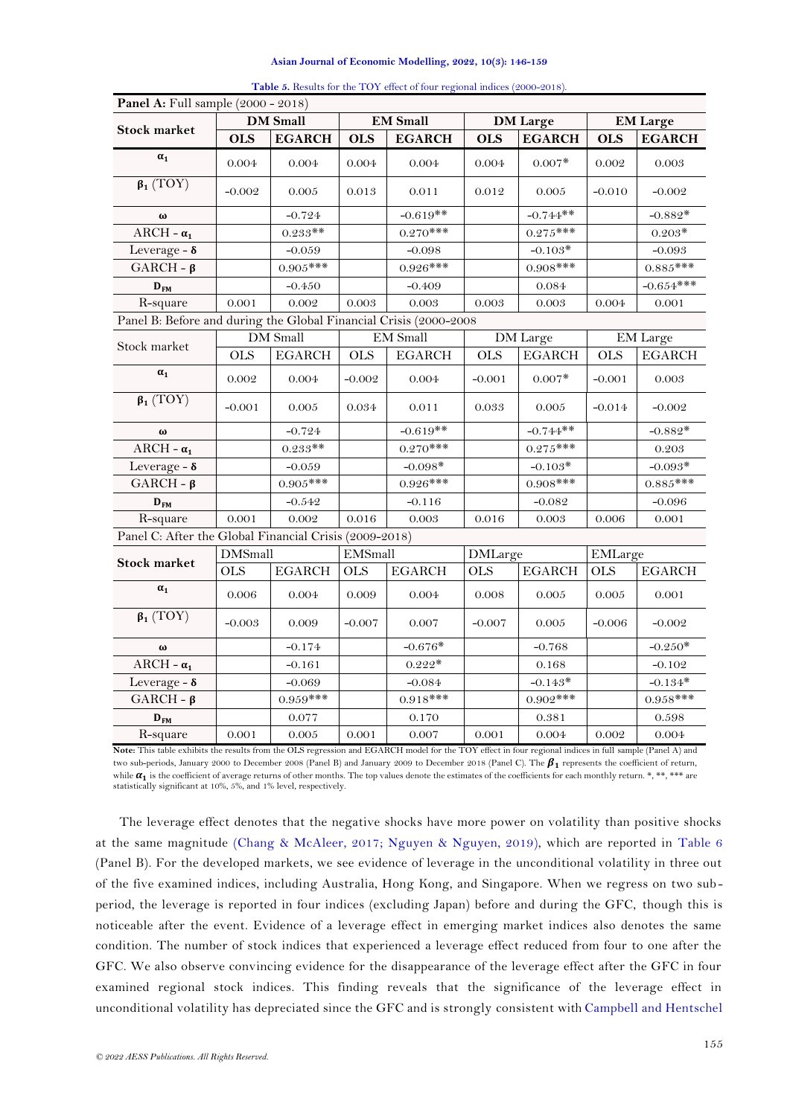<span id="page-9-0"></span>

| <b>Panel A:</b> Full sample (2000 - 2018)                                                                                                               |                |                 |            |                 |                |                 |                 |               |  |  |
|---------------------------------------------------------------------------------------------------------------------------------------------------------|----------------|-----------------|------------|-----------------|----------------|-----------------|-----------------|---------------|--|--|
| <b>Stock market</b>                                                                                                                                     |                | <b>DM</b> Small |            | <b>EM</b> Small |                | <b>DM</b> Large | <b>EM Large</b> |               |  |  |
|                                                                                                                                                         | <b>OLS</b>     | <b>EGARCH</b>   | <b>OLS</b> | <b>EGARCH</b>   | <b>OLS</b>     | <b>EGARCH</b>   | <b>OLS</b>      | <b>EGARCH</b> |  |  |
| $\alpha_1$                                                                                                                                              | 0.004          | 0.004           | 0.004      | 0.004           | 0.004          | $0.007*$        | 0.002           | 0.003         |  |  |
| $\beta_1(TOY)$                                                                                                                                          | $-0.002$       | 0.005           | 0.013      | 0.011           | 0.012          | 0.005           | $-0.010$        | $-0.002$      |  |  |
| $\omega$                                                                                                                                                |                | $-0.724$        |            | $-0.619**$      |                | $-0.744**$      |                 | $-0.882*$     |  |  |
| ARCH - $\alpha_1$                                                                                                                                       |                | $0.233**$       |            | $0.270***$      |                | $0.275***$      |                 | $0.203*$      |  |  |
| Leverage - $\delta$                                                                                                                                     |                | $-0.059$        |            | $-0.098$        |                | $-0.103*$       |                 | $-0.093$      |  |  |
| $GARCH - \beta$                                                                                                                                         |                | $0.905***$      |            | $0.926***$      |                | $0.908***$      |                 | $0.885***$    |  |  |
| $D_{FM}$                                                                                                                                                |                | $-0.450$        |            | $-0.409$        |                | 0.084           |                 | $-0.654***$   |  |  |
| R-square                                                                                                                                                | 0.001          | 0.002           | 0.003      | 0.003           | 0.003          | 0.003           | 0.004           | 0.001         |  |  |
| Panel B: Before and during the Global Financial Crisis (2000-2008                                                                                       |                |                 |            |                 |                |                 |                 |               |  |  |
| Stock market                                                                                                                                            |                | DM Small        |            | <b>EM</b> Small |                | DM Large        |                 | EM Large      |  |  |
|                                                                                                                                                         | <b>OLS</b>     | <b>EGARCH</b>   | <b>OLS</b> | <b>EGARCH</b>   | <b>OLS</b>     | <b>EGARCH</b>   | <b>OLS</b>      | <b>EGARCH</b> |  |  |
| $\alpha_1$                                                                                                                                              | 0.002          | 0.004           | $-0.002$   | 0.004           | $-0.001$       | $0.007*$        | $-0.001$        | 0.003         |  |  |
| $\beta_1(TOY)$                                                                                                                                          | $-0.001$       | 0.005           | 0.034      | 0.011           | 0.033          | 0.005           | $-0.014$        | $-0.002$      |  |  |
| $\omega$                                                                                                                                                |                | $-0.724$        |            | $-0.619**$      |                | $-0.744**$      |                 | $-0.882*$     |  |  |
| ARCH - $\alpha_1$                                                                                                                                       |                | $0.233**$       |            | $0.270***$      |                | $0.275***$      |                 | 0.203         |  |  |
| Leverage - $\delta$                                                                                                                                     |                | $-0.059$        |            | $-0.098*$       |                | $-0.103*$       |                 | $-0.093*$     |  |  |
| $GARCH - \beta$                                                                                                                                         |                | $0.905***$      |            | $0.926***$      |                | $0.908$ ***     |                 | $0.885***$    |  |  |
| $D_{FM}$                                                                                                                                                |                | $-0.542$        |            | $-0.116$        |                | $-0.082$        |                 | $-0.096$      |  |  |
| R-square                                                                                                                                                | 0.001          | 0.002           | 0.016      | 0.003           | 0.016          | 0.003           | 0.006           | 0.001         |  |  |
| Panel C: After the Global Financial Crisis (2009-2018)                                                                                                  |                |                 |            |                 |                |                 |                 |               |  |  |
|                                                                                                                                                         | <b>DMSmall</b> |                 | EMSmall    |                 | <b>DMLarge</b> |                 | EMLarge         |               |  |  |
| <b>Stock market</b>                                                                                                                                     | <b>OLS</b>     | <b>EGARCH</b>   | <b>OLS</b> | <b>EGARCH</b>   | <b>OLS</b>     | <b>EGARCH</b>   | <b>OLS</b>      | <b>EGARCH</b> |  |  |
| $\alpha_1$                                                                                                                                              | 0.006          | 0.004           | 0.009      | 0.004           | 0.008          | 0.005           | 0.005           | 0.001         |  |  |
| $\beta_1(TOY)$                                                                                                                                          | $-0.003$       | 0.009           | $-0.007$   | 0.007           | $-0.007$       | 0.005           | $-0.006$        | $-0.002$      |  |  |
| $\boldsymbol{\omega}$                                                                                                                                   |                | $-0.174$        |            | $-0.676*$       |                | $-0.768$        |                 | $-0.250*$     |  |  |
| ARCH - $\alpha_1$                                                                                                                                       |                | $-0.161$        |            | $0.222*$        |                | 0.168           |                 | $-0.102$      |  |  |
| Leverage - $\delta$                                                                                                                                     |                | $-0.069$        |            | $-0.084$        |                | $-0.143*$       |                 | $-0.134*$     |  |  |
| $GARCH - \beta$                                                                                                                                         |                | $0.959***$      |            | $0.918***$      |                | $0.902$ ***     |                 | $0.958***$    |  |  |
| $D_{FM}$                                                                                                                                                |                | 0.077           |            | 0.170           |                | 0.381           |                 | 0.598         |  |  |
| R-square                                                                                                                                                | 0.001          | $0.005\,$       | 0.001      | 0.007           | $0.001\,$      | 0.004           | 0.002           | 0.004         |  |  |
| Note: This table exhibits the results from the OLS regression and EGARCH model for the TOY effect in four regional indices in full sample (Panel A) and |                |                 |            |                 |                |                 |                 |               |  |  |

| Table 5. Results for the TOY effect of four regional indices (2000-2018). |  |  |  |  |  |
|---------------------------------------------------------------------------|--|--|--|--|--|
|---------------------------------------------------------------------------|--|--|--|--|--|

two sub-periods, January 2000 to December 2008 (Panel B) and January 2009 to December 2018 (Panel C). The  $\beta_1$  represents the coefficient of return, while  $\alpha_1$  is the coefficient of average returns of other months. The top values denote the estimates of the coefficients for each monthly return. \*, \*\*\*, \*\*\* are statistically significant at 10%, 5%, and 1% level, respectively.

The leverage effect denotes that the negative shocks have more power on volatility than positive shocks at the same magnitude [\(Chang & McAleer, 2017;](#page-11-4) [Nguyen & Nguyen, 2019\)](#page-12-18), which are reported in [Table 6](#page-10-0) (Panel B). For the developed markets, we see evidence of leverage in the unconditional volatility in three out of the five examined indices, including Australia, Hong Kong, and Singapore. When we regress on two sub period, the leverage is reported in four indices (excluding Japan) before and during the GFC, though this is noticeable after the event. Evidence of a leverage effect in emerging market indices also denotes the same condition. The number of stock indices that experienced a leverage effect reduced from four to one after the GFC. We also observe convincing evidence for the disappearance of the leverage effect after the GFC in four examined regional stock indices. This finding reveals that the significance of the leverage effect in unconditional volatility has depreciated since the GFC and is strongly consistent with [Campbell and Hentschel](#page-11-8)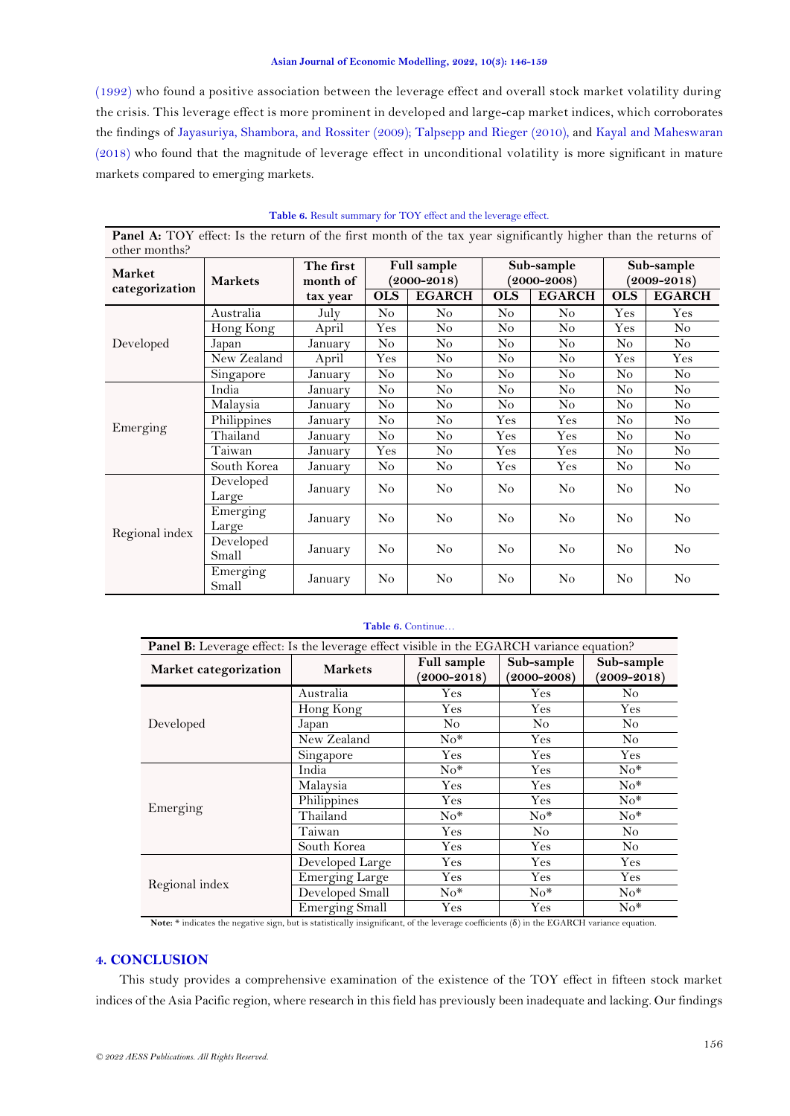[\(1992\)](#page-11-8) who found a positive association between the leverage effect and overall stock market volatility during the crisis. This leverage effect is more prominent in developed and large-cap market indices, which corroborates the findings of [Jayasuriya, Shambora, and Rossiter \(2009\)](#page-12-19); [Talpsepp and Rieger \(2010\)](#page-13-10), and [Kayal and Maheswaran](#page-12-20)  [\(2018\)](#page-12-20) who found that the magnitude of leverage effect in unconditional volatility is more significant in mature markets compared to emerging markets.

<span id="page-10-0"></span>

| <b>Panel A:</b> TOY effect: Is the return of the first month of the tax year significantly higher than the returns of |                    |                       |                |                                |                |                               |                               |                |  |
|-----------------------------------------------------------------------------------------------------------------------|--------------------|-----------------------|----------------|--------------------------------|----------------|-------------------------------|-------------------------------|----------------|--|
| other months?<br><b>Market</b><br>categorization                                                                      | <b>Markets</b>     | The first<br>month of |                | Full sample<br>$(2000 - 2018)$ |                | Sub-sample<br>$(2000 - 2008)$ | Sub-sample<br>$(2009 - 2018)$ |                |  |
|                                                                                                                       |                    | tax year              | <b>OLS</b>     | <b>EGARCH</b>                  | <b>OLS</b>     | <b>EGARCH</b>                 | <b>OLS</b>                    | <b>EGARCH</b>  |  |
|                                                                                                                       | Australia          | July                  | No             | No                             | No             | No                            | Yes                           | Yes            |  |
|                                                                                                                       | Hong Kong          | April                 | $\rm Yes$      | No                             | N <sub>o</sub> | No                            | Yes                           | No             |  |
| Developed                                                                                                             | Japan              | January               | No             | No                             | No             | $\rm No$                      | N <sub>o</sub>                | $\rm No$       |  |
|                                                                                                                       | New Zealand        | April                 | Yes            | No                             | No             | No                            | Yes                           | Yes            |  |
|                                                                                                                       | Singapore          | January               | $\rm No$       | No                             | No             | $\rm No$                      | No                            | No             |  |
|                                                                                                                       | India              | January               | N <sub>o</sub> | No                             | N <sub>o</sub> | No                            | N <sub>o</sub>                | No             |  |
|                                                                                                                       | Malaysia           | January               | No             | No                             | No             | No                            | N <sub>o</sub>                | No             |  |
| Emerging                                                                                                              | Philippines        | January               | No             | No                             | Yes            | Yes                           | No                            | N <sub>o</sub> |  |
|                                                                                                                       | Thailand           | January               | No             | No                             | $\rm Yes$      | $\rm Yes$                     | No                            | No             |  |
|                                                                                                                       | Taiwan             | January               | Yes            | No                             | $\rm Yes$      | Yes                           | N <sub>o</sub>                | No             |  |
|                                                                                                                       | South Korea        | January               | No             | No                             | $\rm Yes$      | $\rm Yes$                     | N <sub>o</sub>                | No             |  |
|                                                                                                                       | Developed<br>Large | January               | N <sub>o</sub> | No                             | N <sub>o</sub> | No                            | N <sub>o</sub>                | N <sub>o</sub> |  |
| Regional index                                                                                                        | Emerging<br>Large  | January               | $\rm No$       | No                             | No             | No                            | N <sub>o</sub>                | No             |  |
|                                                                                                                       | Developed<br>Small | January               | No             | No                             | N <sub>o</sub> | No                            | No.                           | No             |  |
|                                                                                                                       | Emerging<br>Small  | January               | No             | No                             | No             | No                            | N <sub>o</sub>                | No             |  |

**Table 6.** Result summary for TOY effect and the leverage effect.

### **Table 6.** Continue…

| Panel B: Leverage effect: Is the leverage effect visible in the EGARCH variance equation? |                       |                    |                 |                 |  |  |  |  |
|-------------------------------------------------------------------------------------------|-----------------------|--------------------|-----------------|-----------------|--|--|--|--|
| Market categorization                                                                     | <b>Markets</b>        | <b>Full sample</b> | Sub-sample      | Sub-sample      |  |  |  |  |
|                                                                                           |                       | $(2000 - 2018)$    | $(2000 - 2008)$ | $(2009 - 2018)$ |  |  |  |  |
|                                                                                           | Australia             | $\rm Yes$          | Yes             | No              |  |  |  |  |
|                                                                                           | Hong Kong             | Yes                | Yes             | $\rm Yes$       |  |  |  |  |
| Developed                                                                                 | Japan                 | No.                | No              | No              |  |  |  |  |
|                                                                                           | New Zealand           | $No*$              | Yes             | No.             |  |  |  |  |
|                                                                                           | Singapore             | Yes                | Yes             | Yes             |  |  |  |  |
|                                                                                           | India                 | $No*$              | Yes             | $No*$           |  |  |  |  |
|                                                                                           | Malaysia              | Yes                | Yes             | $No*$           |  |  |  |  |
| Emerging                                                                                  | Philippines           | Yes                | Yes             | $No*$           |  |  |  |  |
|                                                                                           | Thailand              | $No*$              | $No*$           | $No*$           |  |  |  |  |
|                                                                                           | Taiwan                | Yes                | N <sub>o</sub>  | N <sub>o</sub>  |  |  |  |  |
|                                                                                           | South Korea           | Yes                | Yes             | No.             |  |  |  |  |
|                                                                                           | Developed Large       | Yes                | Yes             | Yes             |  |  |  |  |
|                                                                                           | <b>Emerging Large</b> | Yes.               | Yes             | Yes             |  |  |  |  |
| Regional index                                                                            | Developed Small       | $No*$              | $No*$           | $No*$           |  |  |  |  |
|                                                                                           | <b>Emerging Small</b> | Yes                | Yes             | $No*$           |  |  |  |  |

**Note:** \* indicates the negative sign, but is statistically insignificant, of the leverage coefficients (δ) in the EGARCH variance equation.

## **4. CONCLUSION**

This study provides a comprehensive examination of the existence of the TOY effect in fifteen stock market indices of the Asia Pacific region, where research in this field has previously been inadequate and lacking. Our findings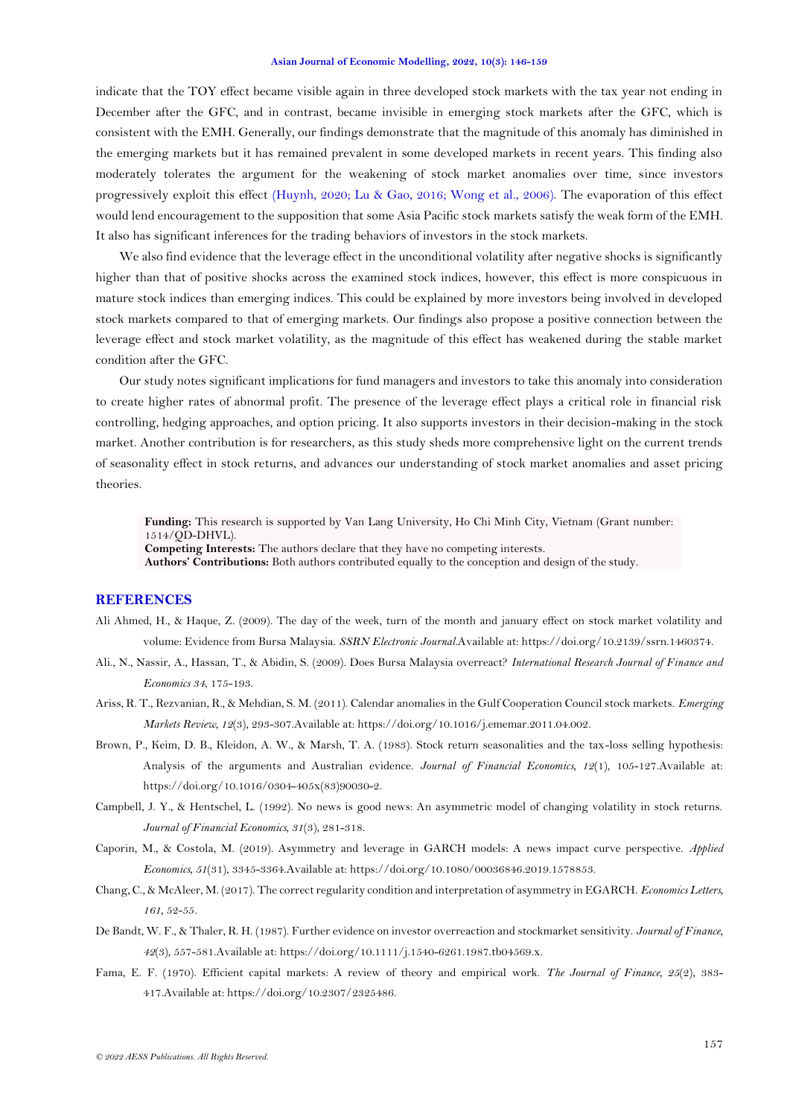indicate that the TOY effect became visible again in three developed stock markets with the tax year not ending in December after the GFC, and in contrast, became invisible in emerging stock markets after the GFC, which is consistent with the EMH. Generally, our findings demonstrate that the magnitude of this anomaly has diminished in the emerging markets but it has remained prevalent in some developed markets in recent years. This finding also moderately tolerates the argument for the weakening of stock market anomalies over time, since investors progressively exploit this effect [\(Huynh, 2020;](#page-12-7) [Lu & Gao, 2016;](#page-12-21) [Wong et al., 2006\)](#page-13-4). The evaporation of this effect would lend encouragement to the supposition that some Asia Pacific stock markets satisfy the weak form of the EMH. It also has significant inferences for the trading behaviors of investors in the stock markets.

We also find evidence that the leverage effect in the unconditional volatility after negative shocks is significantly higher than that of positive shocks across the examined stock indices, however, this effect is more conspicuous in mature stock indices than emerging indices. This could be explained by more investors being involved in developed stock markets compared to that of emerging markets. Our findings also propose a positive connection between the leverage effect and stock market volatility, as the magnitude of this effect has weakened during the stable market condition after the GFC.

Our study notes significant implications for fund managers and investors to take this anomaly into consideration to create higher rates of abnormal profit. The presence of the leverage effect plays a critical role in financial risk controlling, hedging approaches, and option pricing. It also supports investors in their decision-making in the stock market. Another contribution is for researchers, as this study sheds more comprehensive light on the current trends of seasonality effect in stock returns, and advances our understanding of stock market anomalies and asset pricing theories.

**Funding:** This research is supported by Van Lang University, Ho Chi Minh City, Vietnam (Grant number: 1514/QD-DHVL). **Competing Interests:** The authors declare that they have no competing interests.

**Authors' Contributions:** Both authors contributed equally to the conception and design of the study.

### **REFERENCES**

- <span id="page-11-7"></span>Ali Ahmed, H., & Haque, Z. (2009). The day of the week, turn of the month and january effect on stock market volatility and volume: Evidence from Bursa Malaysia. *SSRN Electronic Journal*.Available at: https://doi.org/10.2139/ssrn.1460374.
- <span id="page-11-6"></span>Ali., N., Nassir, A., Hassan, T., & Abidin, S. (2009). Does Bursa Malaysia overreact? *International Research Journal of Finance and Economics 34*, 175-193.
- <span id="page-11-3"></span>Ariss, R. T., Rezvanian, R., & Mehdian, S. M. (2011). Calendar anomalies in the Gulf Cooperation Council stock markets. *Emerging Markets Review, 12*(3), 293-307.Available at: https://doi.org/10.1016/j.ememar.2011.04.002.
- <span id="page-11-2"></span>Brown, P., Keim, D. B., Kleidon, A. W., & Marsh, T. A. (1983). Stock return seasonalities and the tax-loss selling hypothesis: Analysis of the arguments and Australian evidence. *Journal of Financial Economics, 12*(1), 105-127.Available at: https://doi.org/10.1016/0304-405x(83)90030-2.
- <span id="page-11-8"></span>Campbell, J. Y., & Hentschel, L. (1992). No news is good news: An asymmetric model of changing volatility in stock returns. *Journal of Financial Economics, 31*(3), 281-318.
- <span id="page-11-5"></span>Caporin, M., & Costola, M. (2019). Asymmetry and leverage in GARCH models: A news impact curve perspective. *Applied Economics, 51*(31), 3345-3364.Available at: https://doi.org/10.1080/00036846.2019.1578853.
- <span id="page-11-4"></span>Chang, C., & McAleer, M. (2017). The correct regularity condition and interpretation of asymmetry in EGARCH. *Economics Letters, 161*, 52-55.
- <span id="page-11-1"></span>De Bandt, W. F., & Thaler, R. H. (1987). Further evidence on investor overreaction and stockmarket sensitivity. *Journal of Finance, 42*(3), 557-581.Available at: https://doi.org/10.1111/j.1540-6261.1987.tb04569.x.
- <span id="page-11-0"></span>Fama, E. F. (1970). Efficient capital markets: A review of theory and empirical work. *The Journal of Finance, 25*(2), 383- 417.Available at: https://doi.org/10.2307/2325486.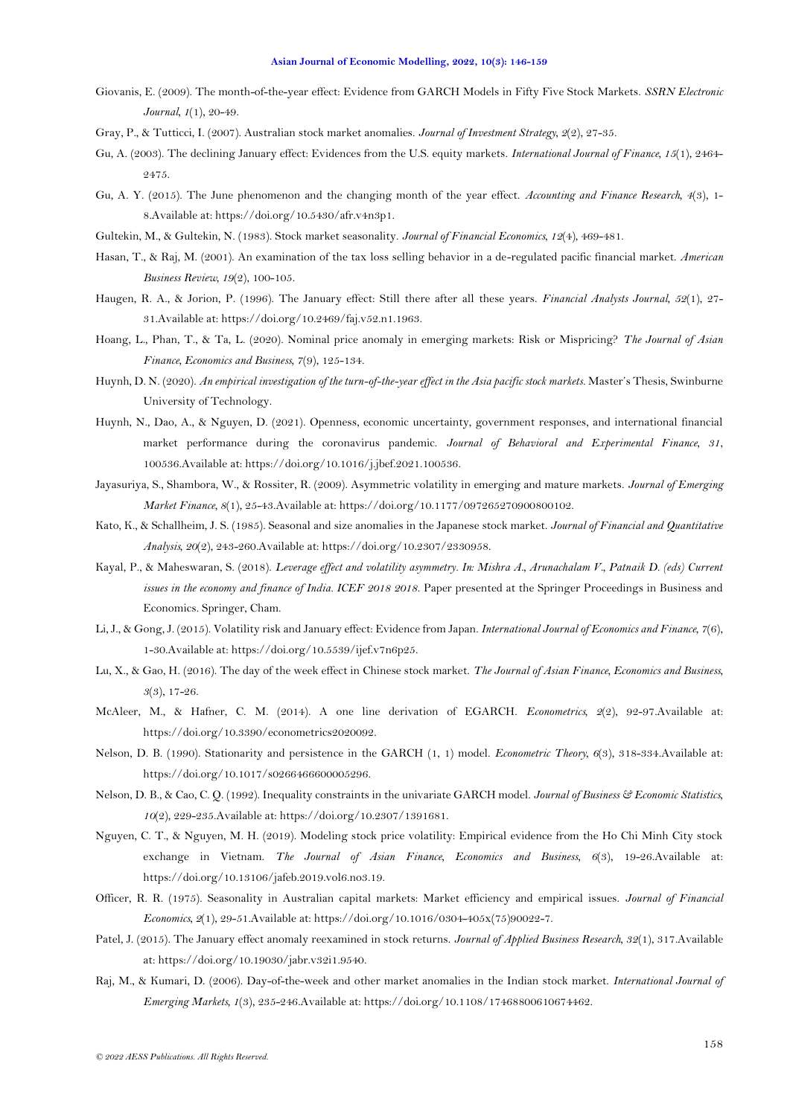- <span id="page-12-14"></span>Giovanis, E. (2009). The month-of-the-year effect: Evidence from GARCH Models in Fifty Five Stock Markets. *SSRN Electronic Journal, 1*(1), 20-49.
- <span id="page-12-16"></span>Gray, P., & Tutticci, I. (2007). Australian stock market anomalies. *Journal of Investment Strategy, 2*(2), 27-35.
- <span id="page-12-5"></span>Gu, A. (2003). The declining January effect: Evidences from the U.S. equity markets. *International Journal of Finance, 15*(1), 2464- 2475.
- <span id="page-12-8"></span>Gu, A. Y. (2015). The June phenomenon and the changing month of the year effect. *Accounting and Finance Research, 4*(3), 1- 8.Available at: https://doi.org/10.5430/afr.v4n3p1.
- <span id="page-12-4"></span>Gultekin, M., & Gultekin, N. (1983). Stock market seasonality. *Journal of Financial Economics, 12*(4), 469-481.
- <span id="page-12-15"></span>Hasan, T., & Raj, M. (2001). An examination of the tax loss selling behavior in a de-regulated pacific financial market. *American Business Review, 19*(2), 100-105.
- <span id="page-12-2"></span>Haugen, R. A., & Jorion, P. (1996). The January effect: Still there after all these years. *Financial Analysts Journal, 52*(1), 27- 31.Available at: https://doi.org/10.2469/faj.v52.n1.1963.
- <span id="page-12-0"></span>Hoang, L., Phan, T., & Ta, L. (2020). Nominal price anomaly in emerging markets: Risk or Mispricing? *The Journal of Asian Finance, Economics and Business, 7*(9), 125-134.
- <span id="page-12-7"></span>Huynh, D. N. (2020). *An empirical investigation of the turn-of-the-year effect in the Asia pacific stock markets.* Master's Thesis, Swinburne University of Technology.
- <span id="page-12-9"></span>Huynh, N., Dao, A., & Nguyen, D. (2021). Openness, economic uncertainty, government responses, and international financial market performance during the coronavirus pandemic. *Journal of Behavioral and Experimental Finance, 31*, 100536.Available at: https://doi.org/10.1016/j.jbef.2021.100536.
- <span id="page-12-19"></span>Jayasuriya, S., Shambora, W., & Rossiter, R. (2009). Asymmetric volatility in emerging and mature markets. *Journal of Emerging Market Finance, 8*(1), 25-43.Available at: https://doi.org/10.1177/097265270900800102.
- <span id="page-12-3"></span>Kato, K., & Schallheim, J. S. (1985). Seasonal and size anomalies in the Japanese stock market. *Journal of Financial and Quantitative Analysis, 20*(2), 243-260.Available at: https://doi.org/10.2307/2330958.
- <span id="page-12-20"></span>Kayal, P., & Maheswaran, S. (2018). *Leverage effect and volatility asymmetry. In: Mishra A., Arunachalam V., Patnaik D. (eds) Current issues in the economy and finance of India. ICEF 2018 2018*. Paper presented at the Springer Proceedings in Business and Economics. Springer, Cham.
- <span id="page-12-6"></span>Li, J., & Gong, J. (2015). Volatility risk and January effect: Evidence from Japan. *International Journal of Economics and Finance, 7*(6), 1-30.Available at: https://doi.org/10.5539/ijef.v7n6p25.
- <span id="page-12-21"></span>Lu, X., & Gao, H. (2016). The day of the week effect in Chinese stock market. *The Journal of Asian Finance, Economics and Business, 3*(3), 17-26.
- <span id="page-12-13"></span>McAleer, M., & Hafner, C. M. (2014). A one line derivation of EGARCH. *Econometrics, 2*(2), 92-97.Available at: https://doi.org/10.3390/econometrics2020092.
- <span id="page-12-11"></span>Nelson, D. B. (1990). Stationarity and persistence in the GARCH (1, 1) model. *Econometric Theory, 6*(3), 318-334.Available at: https://doi.org/10.1017/s0266466600005296.
- <span id="page-12-12"></span>Nelson, D. B., & Cao, C. Q. (1992). Inequality constraints in the univariate GARCH model. *Journal of Business & Economic Statistics, 10*(2), 229-235.Available at: https://doi.org/10.2307/1391681.
- <span id="page-12-18"></span>Nguyen, C. T., & Nguyen, M. H. (2019). Modeling stock price volatility: Empirical evidence from the Ho Chi Minh City stock exchange in Vietnam. *The Journal of Asian Finance, Economics and Business, 6*(3), 19-26.Available at: https://doi.org/10.13106/jafeb.2019.vol6.no3.19.
- <span id="page-12-1"></span>Officer, R. R. (1975). Seasonality in Australian capital markets: Market efficiency and empirical issues. *Journal of Financial Economics, 2*(1), 29-51.Available at: https://doi.org/10.1016/0304-405x(75)90022-7.
- <span id="page-12-10"></span>Patel, J. (2015). The January effect anomaly reexamined in stock returns. *Journal of Applied Business Research, 32*(1), 317.Available at: https://doi.org/10.19030/jabr.v32i1.9540.
- <span id="page-12-17"></span>Raj, M., & Kumari, D. (2006). Day-of-the-week and other market anomalies in the Indian stock market. *International Journal of Emerging Markets, 1*(3), 235-246.Available at: https://doi.org/10.1108/17468800610674462.